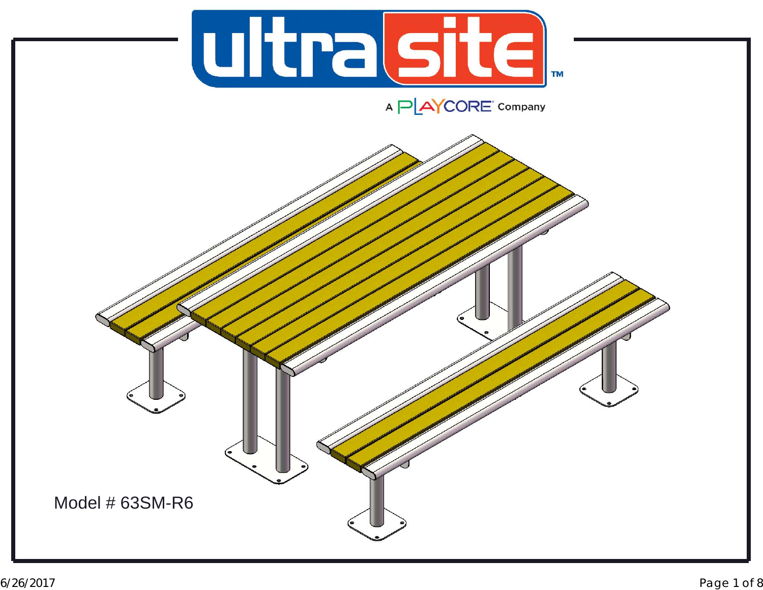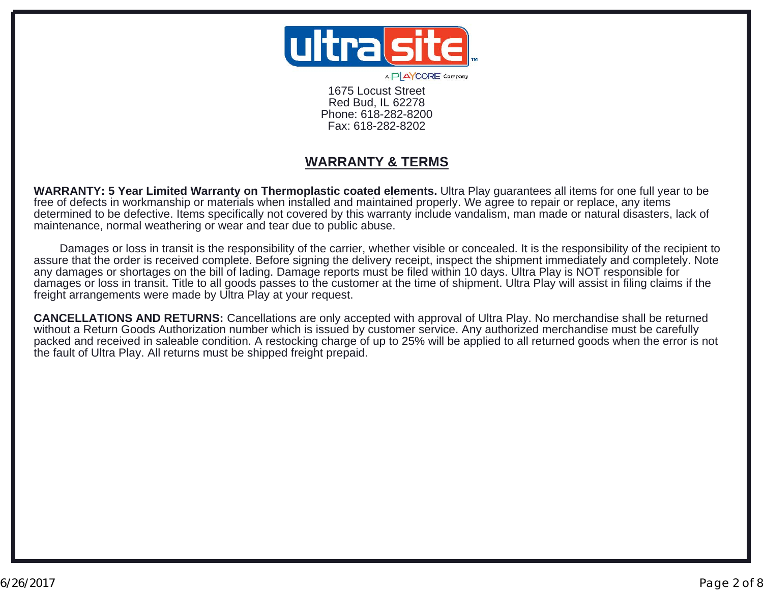

A P AYCORE' Company

1675 Locust StreetRed Bud, IL 62278 Phone: 618-282-8200Fax: 618-282-8202

## **WARRANTY & TERMS**

**WARRANTY: 5 Year Limited Warranty on Thermoplastic coated elements.** Ultra Play guarantees all items for one full year to be free of defects in workmanship or materials when installed and maintained properly. We agree to repair or replace, any items determined to be defective. Items specifically not covered by this warranty include vandalism, man made or natural disasters, lack of maintenance, normal weathering or wear and tear due to public abuse.

 Damages or loss in transit is the responsibility of the carrier, whether visible or concealed. It is the responsibility of the recipient to assure that the order is received complete. Before signing the delivery receipt, inspect the shipment immediately and completely. Note any damages or shortages on the bill of lading. Damage reports must be filed within 10 days. Ultra Play is NOT responsible for damages or loss in transit. Title to all goods passes to the customer at the time of shipment. Ultra Play will assist in filing claims if the freight arrangements were made by Ultra Play at your request.

**CANCELLATIONS AND RETURNS:** Cancellations are only accepted with approval of Ultra Play. No merchandise shall be returned without a Return Goods Authorization number which is issued by customer service. Any authorized merchandise must be carefully packed and received in saleable condition. A restocking charge of up to 25% will be applied to all returned goods when the error is not the fault of Ultra Play. All returns must be shipped freight prepaid.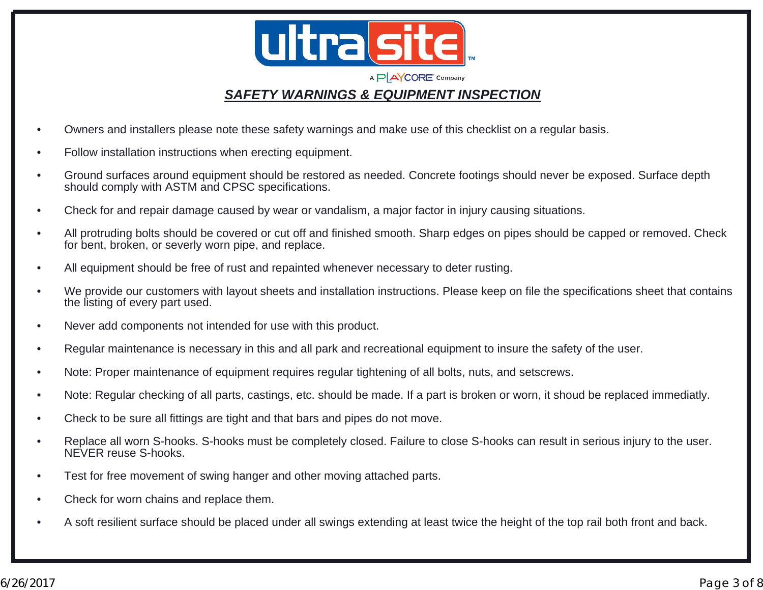

### *SAFETY WARNINGS & EQUIPMENT INSPECTION*

- •Owners and installers please note these safety warnings and make use of this checklist on a regular basis.
- •Follow installation instructions when erecting equipment.
- • Ground surfaces around equipment should be restored as needed. Concrete footings should never be exposed. Surface depth should comply with ASTM and CPSC specifications.
- •Check for and repair damage caused by wear or vandalism, a major factor in injury causing situations.
- • All protruding bolts should be covered or cut off and finished smooth. Sharp edges on pipes should be capped or removed. Check for bent, broken, or severly worn pipe, and replace.
- •All equipment should be free of rust and repainted whenever necessary to deter rusting.
- • We provide our customers with layout sheets and installation instructions. Please keep on file the specifications sheet that contains the listing of every part used.
- •Never add components not intended for use with this product.
- •Regular maintenance is necessary in this and all park and recreational equipment to insure the safety of the user.
- •Note: Proper maintenance of equipment requires regular tightening of all bolts, nuts, and setscrews.
- •Note: Regular checking of all parts, castings, etc. should be made. If a part is broken or worn, it shoud be replaced immediatly.
- •Check to be sure all fittings are tight and that bars and pipes do not move.
- • Replace all worn S-hooks. S-hooks must be completely closed. Failure to close S-hooks can result in serious injury to the user. NEVER reuse S-hooks.
- •Test for free movement of swing hanger and other moving attached parts.
- •Check for worn chains and replace them.
- •A soft resilient surface should be placed under all swings extending at least twice the height of the top rail both front and back.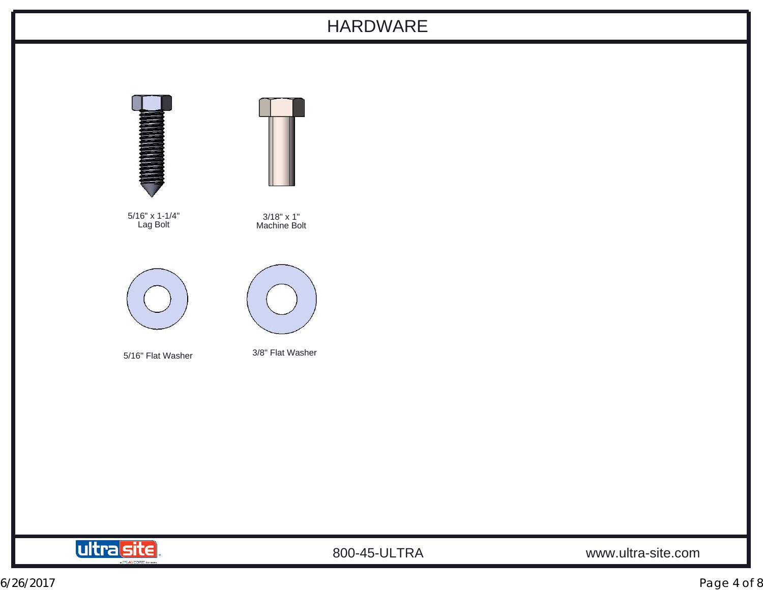## HARDWARE





800-45-ULTRA www.ultra-site.com

6/26/2017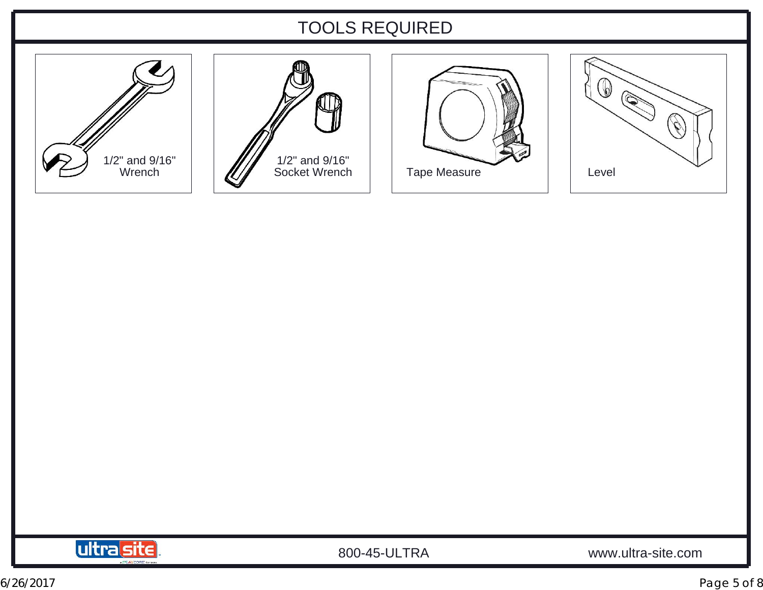# TOOLS REQUIRED











800-45-ULTRA www.ultra-site.com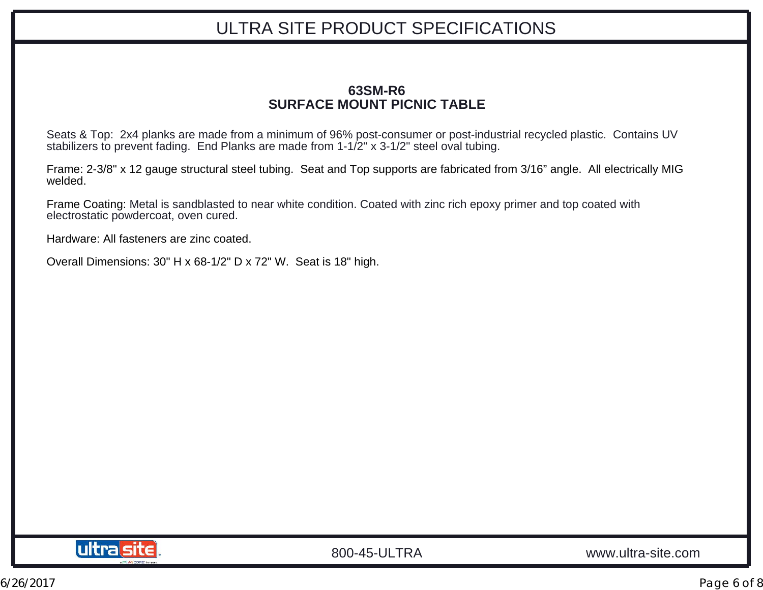# ULTRA SITE PRODUCT SPECIFICATIONS

#### **63SM-R6SURFACE MOUNT PICNIC TABLE**

Seats & Top: 2x4 planks are made from a minimum of 96% post-consumer or post-industrial recycled plastic. Contains UV stabilizers to prevent fading. End Planks are made from 1-1/2" x 3-1/2" steel oval tubing.

Frame: 2-3/8" x 12 gauge structural steel tubing. Seat and Top supports are fabricated from 3/16" angle. All electrically MIG welded.

Frame Coating: Metal is sandblasted to near white condition. Coated with zinc rich epoxy primer and top coated with electrostatic powdercoat, oven cured.

Hardware: All fasteners are zinc coated.

Overall Dimensions: 30" H x 68-1/2" D x 72" W. Seat is 18" high.

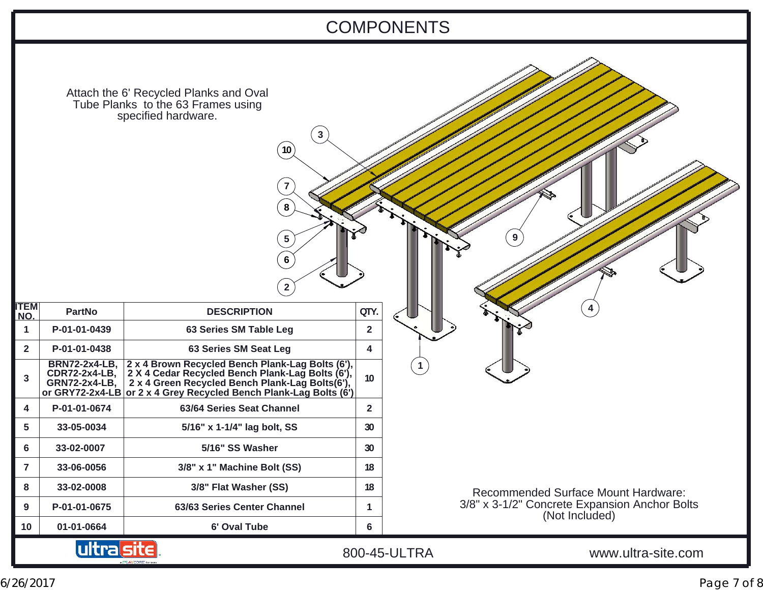# COMPONENTS

| Attach the 6' Recycled Planks and Oval |  |  |  |
|----------------------------------------|--|--|--|
| Tube Planks to the 63 Frames using     |  |  |  |
| specified hardware.                    |  |  |  |

| <b>ITEM</b><br>NO. | <b>PartNo</b>                                                                           | <b>DESCRIPTION</b>                                                                                                                                                                                           | OTY. |  |
|--------------------|-----------------------------------------------------------------------------------------|--------------------------------------------------------------------------------------------------------------------------------------------------------------------------------------------------------------|------|--|
| 1                  | P-01-01-0439                                                                            | 63 Series SM Table Leg                                                                                                                                                                                       | 2    |  |
| $\mathbf{2}$       | P-01-01-0438                                                                            | 63 Series SM Seat Leg                                                                                                                                                                                        | 4    |  |
| 3                  | <b>BRN72-2x4-LB,</b><br><b>CDR72-2x4-LB,</b><br><b>GRN72-2x4-LB,</b><br>or GRY72-2x4-LB | 2 x 4 Brown Recycled Bench Plank-Lag Bolts (6'),<br>2 X 4 Cedar Recycled Bench Plank-Lag Bolts (6'),<br>2 x 4 Green Recycled Bench Plank-Lag Bolts(6'),<br>or 2 x 4 Grey Recycled Bench Plank-Lag Bolts (6') | 10   |  |
| 4                  | P-01-01-0674                                                                            | 63/64 Series Seat Channel                                                                                                                                                                                    | 2    |  |
| 5                  | 33-05-0034                                                                              | 5/16" x 1-1/4" lag bolt, SS                                                                                                                                                                                  | 30   |  |
| 6                  | 33-02-0007                                                                              | 5/16" SS Washer                                                                                                                                                                                              | 30   |  |
| 7                  | 33-06-0056                                                                              | 3/8" x 1" Machine Bolt (SS)                                                                                                                                                                                  | 18   |  |
| 8                  | 33-02-0008                                                                              | 3/8" Flat Washer (SS)                                                                                                                                                                                        | 18   |  |
| 9                  | P-01-01-0675                                                                            | 63/63 Series Center Channel                                                                                                                                                                                  | 1    |  |
| 10                 | 01-01-0664                                                                              | 6' Oval Tube                                                                                                                                                                                                 | 6    |  |
| RN UD              |                                                                                         |                                                                                                                                                                                                              |      |  |

AP AYCORE COTP

**2**

**5**

**6**

**7**

**10**

**8**

**93 41**

> Recommended Surface Mount Hardware: 3/8" x 3-1/2" Concrete Expansion Anchor Bolts (Not Included)

800-45-ULTRA www.ultra-site.com